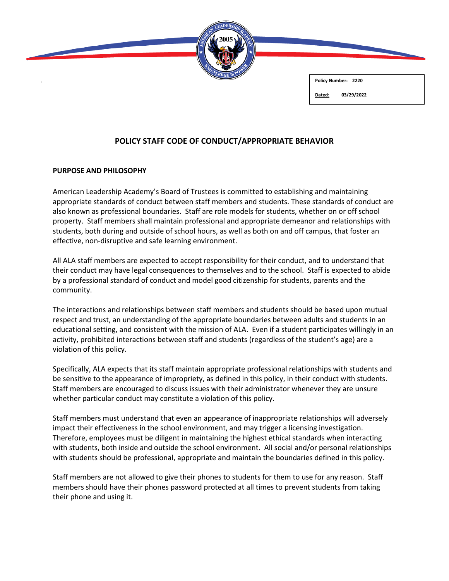

**Policy Number: 2220**

#### **Dated: 03/29/2022**

# **POLICY STAFF CODE OF CONDUCT/APPROPRIATE BEHAVIOR**

### **PURPOSE AND PHILOSOPHY**

American Leadership Academy's Board of Trustees is committed to establishing and maintaining appropriate standards of conduct between staff members and students. These standards of conduct are also known as professional boundaries. Staff are role models for students, whether on or off school property. Staff members shall maintain professional and appropriate demeanor and relationships with students, both during and outside of school hours, as well as both on and off campus, that foster an effective, non-disruptive and safe learning environment.

All ALA staff members are expected to accept responsibility for their conduct, and to understand that their conduct may have legal consequences to themselves and to the school. Staff is expected to abide by a professional standard of conduct and model good citizenship for students, parents and the community.

The interactions and relationships between staff members and students should be based upon mutual respect and trust, an understanding of the appropriate boundaries between adults and students in an educational setting, and consistent with the mission of ALA. Even if a student participates willingly in an activity, prohibited interactions between staff and students (regardless of the student's age) are a violation of this policy.

Specifically, ALA expects that its staff maintain appropriate professional relationships with students and be sensitive to the appearance of impropriety, as defined in this policy, in their conduct with students. Staff members are encouraged to discuss issues with their administrator whenever they are unsure whether particular conduct may constitute a violation of this policy.

Staff members must understand that even an appearance of inappropriate relationships will adversely impact their effectiveness in the school environment, and may trigger a licensing investigation. Therefore, employees must be diligent in maintaining the highest ethical standards when interacting with students, both inside and outside the school environment. All social and/or personal relationships with students should be professional, appropriate and maintain the boundaries defined in this policy.

Staff members are not allowed to give their phones to students for them to use for any reason. Staff members should have their phones password protected at all times to prevent students from taking their phone and using it.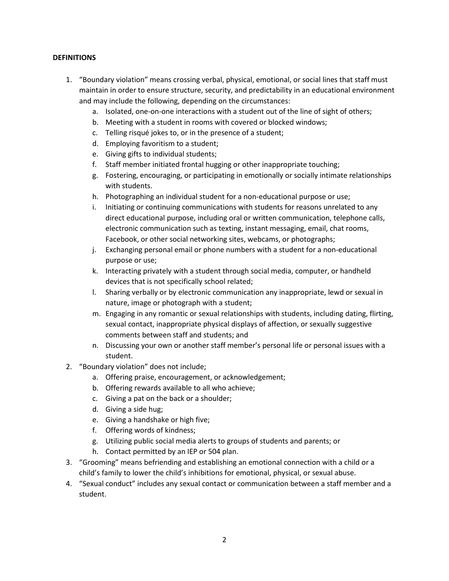## **DEFINITIONS**

- 1. "Boundary violation" means crossing verbal, physical, emotional, or social lines that staff must maintain in order to ensure structure, security, and predictability in an educational environment and may include the following, depending on the circumstances:
	- a. Isolated, one-on-one interactions with a student out of the line of sight of others;
	- b. Meeting with a student in rooms with covered or blocked windows;
	- c. Telling risqué jokes to, or in the presence of a student;
	- d. Employing favoritism to a student;
	- e. Giving gifts to individual students;
	- f. Staff member initiated frontal hugging or other inappropriate touching;
	- g. Fostering, encouraging, or participating in emotionally or socially intimate relationships with students.
	- h. Photographing an individual student for a non-educational purpose or use;
	- i. Initiating or continuing communications with students for reasons unrelated to any direct educational purpose, including oral or written communication, telephone calls, electronic communication such as texting, instant messaging, email, chat rooms, Facebook, or other social networking sites, webcams, or photographs;
	- j. Exchanging personal email or phone numbers with a student for a non-educational purpose or use;
	- k. Interacting privately with a student through social media, computer, or handheld devices that is not specifically school related;
	- l. Sharing verbally or by electronic communication any inappropriate, lewd or sexual in nature, image or photograph with a student;
	- m. Engaging in any romantic or sexual relationships with students, including dating, flirting, sexual contact, inappropriate physical displays of affection, or sexually suggestive comments between staff and students; and
	- n. Discussing your own or another staff member's personal life or personal issues with a student.
- 2. "Boundary violation" does not include;
	- a. Offering praise, encouragement, or acknowledgement;
	- b. Offering rewards available to all who achieve;
	- c. Giving a pat on the back or a shoulder;
	- d. Giving a side hug;
	- e. Giving a handshake or high five;
	- f. Offering words of kindness;
	- g. Utilizing public social media alerts to groups of students and parents; or
	- h. Contact permitted by an IEP or 504 plan.
- 3. "Grooming" means befriending and establishing an emotional connection with a child or a child's family to lower the child's inhibitions for emotional, physical, or sexual abuse.
- 4. "Sexual conduct" includes any sexual contact or communication between a staff member and a student.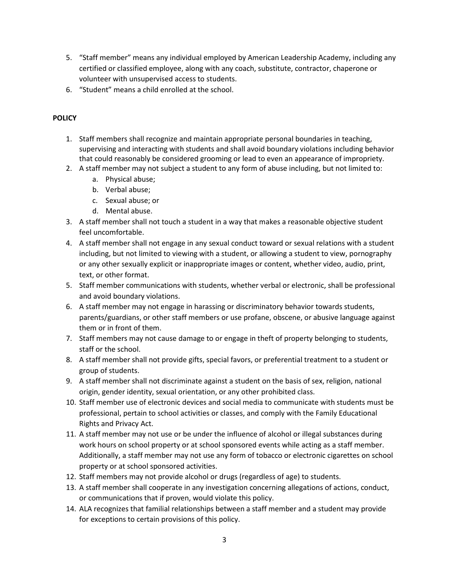- 5. "Staff member" means any individual employed by American Leadership Academy, including any certified or classified employee, along with any coach, substitute, contractor, chaperone or volunteer with unsupervised access to students.
- 6. "Student" means a child enrolled at the school.

## **POLICY**

- 1. Staff members shall recognize and maintain appropriate personal boundaries in teaching, supervising and interacting with students and shall avoid boundary violations including behavior that could reasonably be considered grooming or lead to even an appearance of impropriety.
- 2. A staff member may not subject a student to any form of abuse including, but not limited to:
	- a. Physical abuse;
	- b. Verbal abuse;
	- c. Sexual abuse; or
	- d. Mental abuse.
- 3. A staff member shall not touch a student in a way that makes a reasonable objective student feel uncomfortable.
- 4. A staff member shall not engage in any sexual conduct toward or sexual relations with a student including, but not limited to viewing with a student, or allowing a student to view, pornography or any other sexually explicit or inappropriate images or content, whether video, audio, print, text, or other format.
- 5. Staff member communications with students, whether verbal or electronic, shall be professional and avoid boundary violations.
- 6. A staff member may not engage in harassing or discriminatory behavior towards students, parents/guardians, or other staff members or use profane, obscene, or abusive language against them or in front of them.
- 7. Staff members may not cause damage to or engage in theft of property belonging to students, staff or the school.
- 8. A staff member shall not provide gifts, special favors, or preferential treatment to a student or group of students.
- 9. A staff member shall not discriminate against a student on the basis of sex, religion, national origin, gender identity, sexual orientation, or any other prohibited class.
- 10. Staff member use of electronic devices and social media to communicate with students must be professional, pertain to school activities or classes, and comply with the Family Educational Rights and Privacy Act.
- 11. A staff member may not use or be under the influence of alcohol or illegal substances during work hours on school property or at school sponsored events while acting as a staff member. Additionally, a staff member may not use any form of tobacco or electronic cigarettes on school property or at school sponsored activities.
- 12. Staff members may not provide alcohol or drugs (regardless of age) to students.
- 13. A staff member shall cooperate in any investigation concerning allegations of actions, conduct, or communications that if proven, would violate this policy.
- 14. ALA recognizes that familial relationships between a staff member and a student may provide for exceptions to certain provisions of this policy.